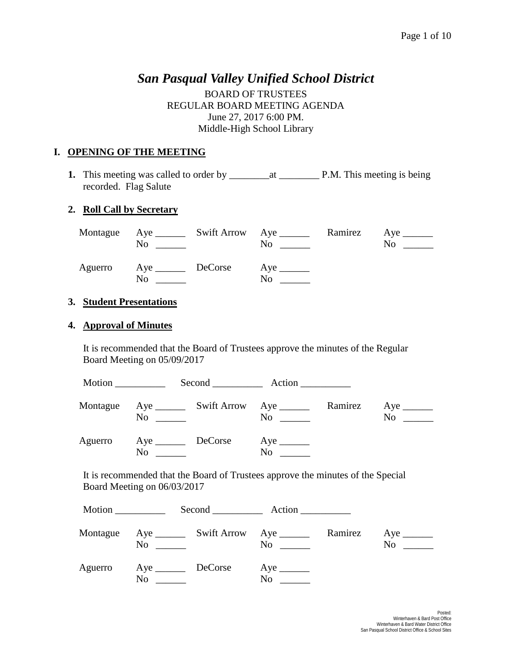# *San Pasqual Valley Unified School District*

BOARD OF TRUSTEES REGULAR BOARD MEETING AGENDA June 27, 2017 6:00 PM. Middle-High School Library

### **I. OPENING OF THE MEETING**

**1.** This meeting was called to order by \_\_\_\_\_\_\_\_at \_\_\_\_\_\_\_\_ P.M. This meeting is being recorded. Flag Salute

#### **2. Roll Call by Secretary**

| No                                | <u> 1990 - Jan Albert Barbara, mana</u> | Montague Aye ________ Swift Arrow Aye _________ Ramirez Aye ________<br>$\overline{N}$ o $\overline{\phantom{nnn}}$ | No. |
|-----------------------------------|-----------------------------------------|---------------------------------------------------------------------------------------------------------------------|-----|
| Aguerro Aye <u>DeCorse</u><br>No. |                                         | $Aye$ <sub>_______</sub><br>No.                                                                                     |     |

# **3. Student Presentations**

#### **4. Approval of Minutes**

It is recommended that the Board of Trustees approve the minutes of the Regular Board Meeting on 05/09/2017

|          |                   | Second Action                             |         |                  |  |  |
|----------|-------------------|-------------------------------------------|---------|------------------|--|--|
| Montague | No                | $\overline{N}$ o $\overline{\phantom{a}}$ | Ramirez | $\overline{N_0}$ |  |  |
| Aguerro  | Aye DeCorse<br>No | No                                        |         |                  |  |  |

It is recommended that the Board of Trustees approve the minutes of the Special Board Meeting on 06/03/2017

| Montague | No                       | Aye __________ Swift Arrow Aye _______<br>N <sub>0</sub> | Ramirez | N <sub>0</sub><br>$\mathcal{L}^{\text{max}}$ . The set of $\mathcal{L}^{\text{max}}$ |
|----------|--------------------------|----------------------------------------------------------|---------|--------------------------------------------------------------------------------------|
| Aguerro  | Aye <u>DeCorse</u><br>No | $Aye$ <sub>______</sub><br>N <sub>0</sub>                |         |                                                                                      |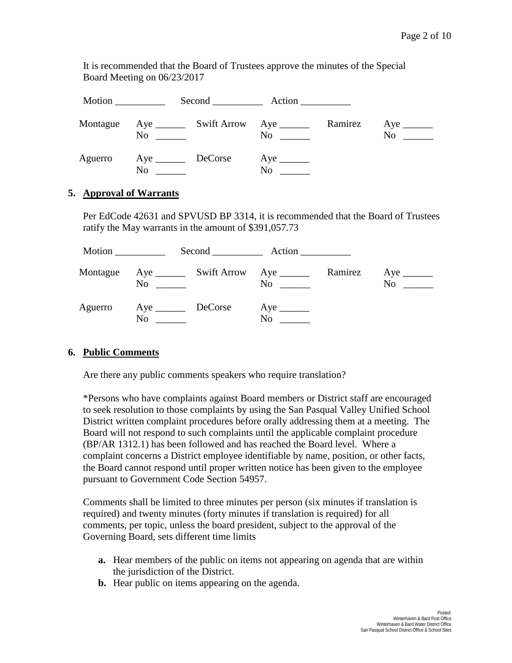It is recommended that the Board of Trustees approve the minutes of the Special Board Meeting on 06/23/2017

| Montague | No                         | and the state of the state of | $\overline{N}$ $\overline{\phantom{C}N}$ | Ramirez | N <sub>0</sub><br>$\mathcal{L}^{\text{max}}$ , and $\mathcal{L}^{\text{max}}$ |  |  |
|----------|----------------------------|-------------------------------|------------------------------------------|---------|-------------------------------------------------------------------------------|--|--|
| Aguerro  | $\text{Aye}$ DeCorse<br>No |                               | $No \ \_$                                |         |                                                                               |  |  |

### **5. Approval of Warrants**

Per EdCode 42631 and SPVUSD BP 3314, it is recommended that the Board of Trustees ratify the May warrants in the amount of \$391,057.73

|          |                               | $Second$ $Action$ |         |    |  |  |
|----------|-------------------------------|-------------------|---------|----|--|--|
| Montague | No                            | N <sub>0</sub>    | Ramirez | No |  |  |
| Aguerro  | Aye DeCorse<br>N <sub>0</sub> | N <sub>0</sub>    |         |    |  |  |

#### **6. Public Comments**

Are there any public comments speakers who require translation?

\*Persons who have complaints against Board members or District staff are encouraged to seek resolution to those complaints by using the San Pasqual Valley Unified School District written complaint procedures before orally addressing them at a meeting. The Board will not respond to such complaints until the applicable complaint procedure (BP/AR 1312.1) has been followed and has reached the Board level. Where a complaint concerns a District employee identifiable by name, position, or other facts, the Board cannot respond until proper written notice has been given to the employee pursuant to Government Code Section 54957.

Comments shall be limited to three minutes per person (six minutes if translation is required) and twenty minutes (forty minutes if translation is required) for all comments, per topic, unless the board president, subject to the approval of the Governing Board, sets different time limits

- **a.** Hear members of the public on items not appearing on agenda that are within the jurisdiction of the District.
- **b.** Hear public on items appearing on the agenda.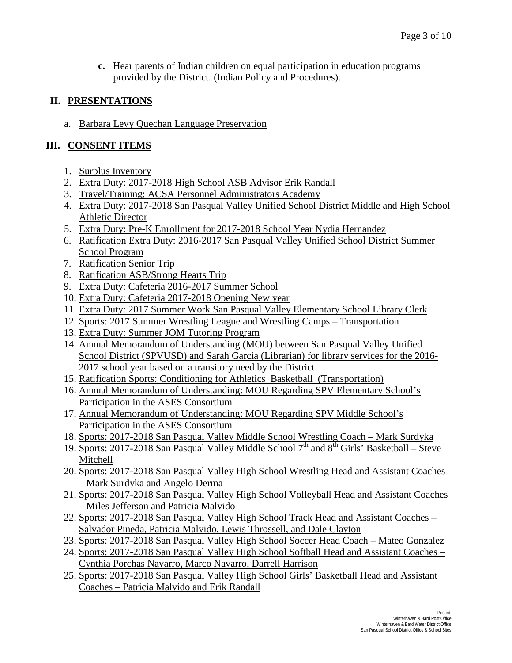**c.** Hear parents of Indian children on equal participation in education programs provided by the District. (Indian Policy and Procedures).

## **II. PRESENTATIONS**

a. Barbara Levy Quechan Language Preservation

# **III. CONSENT ITEMS**

- 1. Surplus Inventory
- 2. Extra Duty: 2017-2018 High School ASB Advisor Erik Randall
- 3. Travel/Training: ACSA Personnel Administrators Academy
- 4. Extra Duty: 2017-2018 San Pasqual Valley Unified School District Middle and High School Athletic Director
- 5. Extra Duty: Pre-K Enrollment for 2017-2018 School Year Nydia Hernandez
- 6. Ratification Extra Duty: 2016-2017 San Pasqual Valley Unified School District Summer School Program
- 7. Ratification Senior Trip
- 8. Ratification ASB/Strong Hearts Trip
- 9. Extra Duty: Cafeteria 2016-2017 Summer School
- 10. Extra Duty: Cafeteria 2017-2018 Opening New year
- 11. Extra Duty: 2017 Summer Work San Pasqual Valley Elementary School Library Clerk
- 12. Sports: 2017 Summer Wrestling League and Wrestling Camps Transportation
- 13. Extra Duty: Summer JOM Tutoring Program
- 14. Annual Memorandum of Understanding (MOU) between San Pasqual Valley Unified School District (SPVUSD) and Sarah Garcia (Librarian) for library services for the 2016- 2017 school year based on a transitory need by the District
- 15. Ratification Sports: Conditioning for Athletics Basketball (Transportation)
- 16. Annual Memorandum of Understanding: MOU Regarding SPV Elementary School's Participation in the ASES Consortium
- 17. Annual Memorandum of Understanding: MOU Regarding SPV Middle School's Participation in the ASES Consortium
- 18. Sports: 2017-2018 San Pasqual Valley Middle School Wrestling Coach Mark Surdyka
- 19. Sports: 2017-2018 San Pasqual Valley Middle School  $7<sup>th</sup>$  and  $8<sup>th</sup>$  Girls' Basketball Steve Mitchell
- 20. Sports: 2017-2018 San Pasqual Valley High School Wrestling Head and Assistant Coaches – Mark Surdyka and Angelo Derma
- 21. Sports: 2017-2018 San Pasqual Valley High School Volleyball Head and Assistant Coaches – Miles Jefferson and Patricia Malvido
- 22. Sports: 2017-2018 San Pasqual Valley High School Track Head and Assistant Coaches Salvador Pineda, Patricia Malvido, Lewis Throssell, and Dale Clayton
- 23. Sports: 2017-2018 San Pasqual Valley High School Soccer Head Coach Mateo Gonzalez
- 24. Sports: 2017-2018 San Pasqual Valley High School Softball Head and Assistant Coaches Cynthia Porchas Navarro, Marco Navarro, Darrell Harrison
- 25. Sports: 2017-2018 San Pasqual Valley High School Girls' Basketball Head and Assistant Coaches – Patricia Malvido and Erik Randall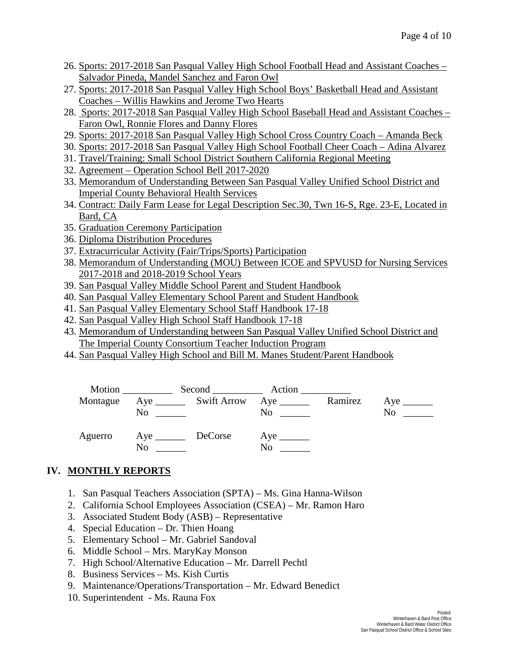- 26. Sports: 2017-2018 San Pasqual Valley High School Football Head and Assistant Coaches Salvador Pineda, Mandel Sanchez and Faron Owl
- 27. Sports: 2017-2018 San Pasqual Valley High School Boys' Basketball Head and Assistant Coaches – Willis Hawkins and Jerome Two Hearts
- 28. Sports: 2017-2018 San Pasqual Valley High School Baseball Head and Assistant Coaches Faron Owl, Ronnie Flores and Danny Flores
- 29. Sports: 2017-2018 San Pasqual Valley High School Cross Country Coach Amanda Beck
- 30. Sports: 2017-2018 San Pasqual Valley High School Football Cheer Coach Adina Alvarez
- 31. Travel/Training: Small School District Southern California Regional Meeting
- 32. Agreement Operation School Bell 2017-2020
- 33. Memorandum of Understanding Between San Pasqual Valley Unified School District and Imperial County Behavioral Health Services
- 34. Contract: Daily Farm Lease for Legal Description Sec.30, Twn 16-S, Rge. 23-E, Located in Bard, CA
- 35. Graduation Ceremony Participation
- 36. Diploma Distribution Procedures
- 37. Extracurricular Activity (Fair/Trips/Sports) Participation
- 38. Memorandum of Understanding (MOU) Between ICOE and SPVUSD for Nursing Services 2017-2018 and 2018-2019 School Years
- 39. San Pasqual Valley Middle School Parent and Student Handbook
- 40. San Pasqual Valley Elementary School Parent and Student Handbook
- 41. San Pasqual Valley Elementary School Staff Handbook 17-18
- 42. San Pasqual Valley High School Staff Handbook 17-18
- 43. Memorandum of Understanding between San Pasqual Valley Unified School District and The Imperial County Consortium Teacher Induction Program
- 44. San Pasqual Valley High School and Bill M. Manes Student/Parent Handbook



# **IV. MONTHLY REPORTS**

- 1. San Pasqual Teachers Association (SPTA) Ms. Gina Hanna-Wilson
- 2. California School Employees Association (CSEA) Mr. Ramon Haro
- 3. Associated Student Body (ASB) Representative
- 4. Special Education Dr. Thien Hoang
- 5. Elementary School Mr. Gabriel Sandoval
- 6. Middle School Mrs. MaryKay Monson
- 7. High School/Alternative Education Mr. Darrell Pechtl
- 8. Business Services Ms. Kish Curtis
- 9. Maintenance/Operations/Transportation Mr. Edward Benedict
- 10. Superintendent Ms. Rauna Fox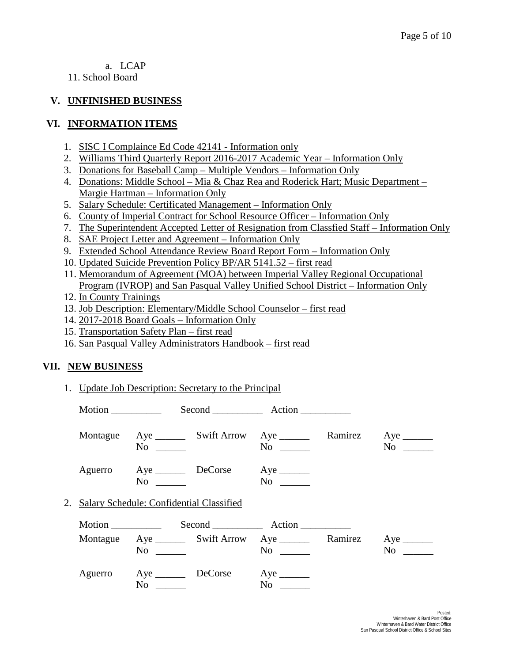### a. LCAP

11. School Board

## **V. UNFINISHED BUSINESS**

### **VI. INFORMATION ITEMS**

- 1. SISC I Complaince Ed Code 42141 Information only
- 2. Williams Third Quarterly Report 2016-2017 Academic Year Information Only
- 3. Donations for Baseball Camp Multiple Vendors Information Only
- 4. Donations: Middle School Mia & Chaz Rea and Roderick Hart; Music Department Margie Hartman – Information Only
- 5. Salary Schedule: Certificated Management Information Only
- 6. County of Imperial Contract for School Resource Officer Information Only
- 7. The Superintendent Accepted Letter of Resignation from Classfied Staff Information Only
- 8. SAE Project Letter and Agreement Information Only
- 9. Extended School Attendance Review Board Report Form Information Only
- 10. Updated Suicide Prevention Policy BP/AR 5141.52 first read
- 11. Memorandum of Agreement (MOA) between Imperial Valley Regional Occupational Program (IVROP) and San Pasqual Valley Unified School District – Information Only
- 12. In County Trainings
- 13. Job Description: Elementary/Middle School Counselor first read
- 14. 2017-2018 Board Goals Information Only
- 15. Transportation Safety Plan first read
- 16. San Pasqual Valley Administrators Handbook first read

### **VII. NEW BUSINESS**

1. Update Job Description: Secretary to the Principal

| Motion |                                             |                     |                                                                        |  |                                        |
|--------|---------------------------------------------|---------------------|------------------------------------------------------------------------|--|----------------------------------------|
|        | $No \t —$                                   |                     | Montague Aye ________ Swift Arrow Aye _________ Ramirez<br>$No \t —$   |  | $Aye$ <sub>________</sub><br>$No \t —$ |
|        | $No \qquad \qquad$                          | Aguerro Aye DeCorse | $Aye$ <sub>_______</sub><br>$No \ \_$                                  |  |                                        |
|        | 2. Salary Schedule: Confidential Classified |                     |                                                                        |  |                                        |
| Motion |                                             |                     |                                                                        |  |                                        |
|        | $\overline{N}$ o                            |                     | Montague Aye _________ Swift Arrow Aye __________ Ramirez<br>$No \ \_$ |  | $Aye$ <sub>________</sub><br>No        |
|        | Aguerro Aye DeCorse<br>$No \ \_$            |                     | No                                                                     |  |                                        |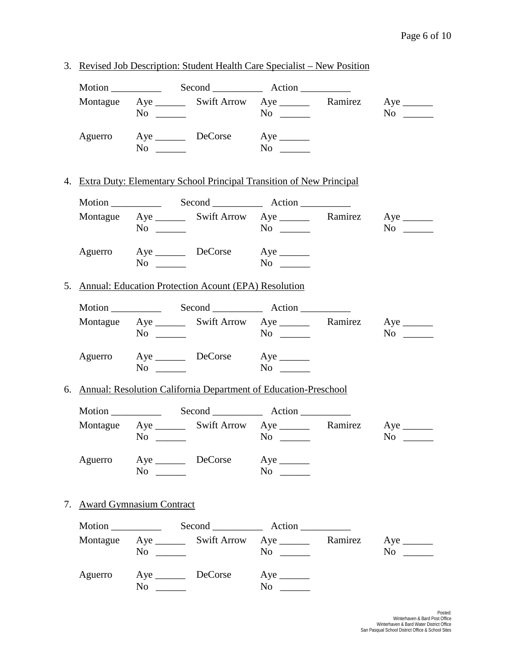|                             |                    | 3. Revised Job Description: Student Health Care Specialist – New Position |                                      |                                      |
|-----------------------------|--------------------|---------------------------------------------------------------------------|--------------------------------------|--------------------------------------|
|                             |                    |                                                                           |                                      |                                      |
|                             | $No \ \_$          | Montague Aye ________ Swift Arrow Aye ________ Ramirez Aye _______        | $No \ \_$                            | $No \ \_$                            |
|                             | $No \ \_$          | Aguerro Aye DeCorse Aye ________                                          | $No \ \_$                            |                                      |
|                             |                    | 4. Extra Duty: Elementary School Principal Transition of New Principal    |                                      |                                      |
|                             |                    |                                                                           |                                      |                                      |
|                             | $No \ \_$          | Montague Aye ________ Swift Arrow Aye ________ Ramirez Aye _______        | $No \ \_$                            | $No \_$                              |
|                             | $No \ \_$          | Aguerro Aye DeCorse Aye                                                   |                                      |                                      |
|                             |                    | 5. Annual: Education Protection Acount (EPA) Resolution                   |                                      |                                      |
|                             |                    |                                                                           |                                      |                                      |
|                             | $No \ \_$          | Montague Aye ________ Swift Arrow Aye ________ Ramirez Aye _______        | $No \ \_$                            | $No \_$                              |
|                             | $No \ \_$          | Aguerro Aye DeCorse Aye ________                                          |                                      |                                      |
|                             |                    | 6. Annual: Resolution California Department of Education-Preschool        |                                      |                                      |
|                             |                    |                                                                           |                                      |                                      |
|                             | $\overline{N_0}$   | Montague Aye ________ Swift Arrow Aye ________ Ramirez Aye _______        | $No \ \_$                            | $\overline{N_0}$                     |
|                             | $No \ \_$          | Aguerro Aye DeCorse Aye _______                                           | $No \ \_$                            |                                      |
| 7. Award Gymnasium Contract |                    |                                                                           |                                      |                                      |
|                             |                    |                                                                           |                                      |                                      |
|                             | $No \ \_$          | Montague Aye ________ Swift Arrow Aye _________ Ramirez                   |                                      | $Aye$ <sub>______</sub><br>$No \ \_$ |
|                             | No $\frac{\ }{\ }$ | Aguerro Aye DeCorse                                                       | $Aye$ <sub>______</sub><br>$No \ \_$ |                                      |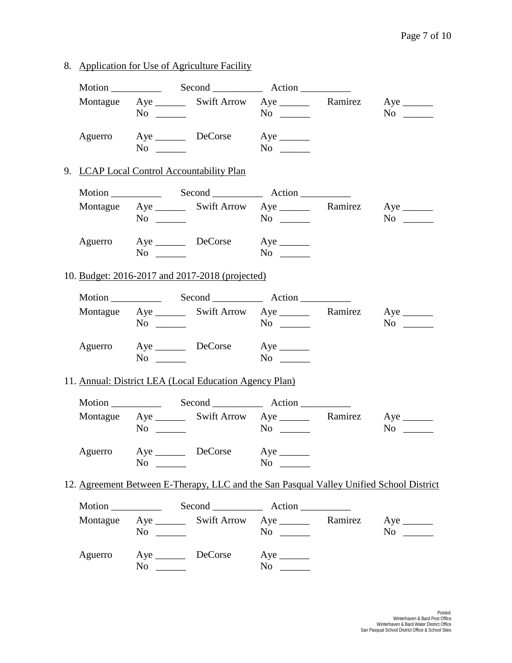8. Application for Use of Agriculture Facility

|         | $No \ \_$                                        |                                                        | Montague Aye ________ Swift Arrow Aye _________ Ramirez Aye _______<br>$No \ \_$                                 | $No \ \_$                                                                               |
|---------|--------------------------------------------------|--------------------------------------------------------|------------------------------------------------------------------------------------------------------------------|-----------------------------------------------------------------------------------------|
| Aguerro | $\overline{N}$ $\overline{\phantom{N}}$          | Aye DeCorse Aye ________                               | $No \ \_$                                                                                                        |                                                                                         |
|         |                                                  | 9. LCAP Local Control Accountability Plan              |                                                                                                                  |                                                                                         |
|         |                                                  |                                                        |                                                                                                                  |                                                                                         |
|         | $No \ \_$                                        |                                                        | Montague Aye ________ Swift Arrow Aye ________ Ramirez Aye _______                                               | $No \ \_$                                                                               |
|         | $\overline{N}$ $\overline{\phantom{N}}$          | Aguerro Aye DeCorse Aye                                | $No \_$                                                                                                          |                                                                                         |
|         |                                                  | 10. Budget: 2016-2017 and 2017-2018 (projected)        |                                                                                                                  |                                                                                         |
|         |                                                  |                                                        |                                                                                                                  |                                                                                         |
|         | $No \ \_$                                        |                                                        | Montague Aye ________ Swift Arrow Aye _________ Ramirez Aye _______                                              | $No \ \_$                                                                               |
|         |                                                  | Aguerro Aye DeCorse Aye ________<br>$No \ \_$          | $No \ \_$                                                                                                        |                                                                                         |
|         |                                                  | 11. Annual: District LEA (Local Education Agency Plan) |                                                                                                                  |                                                                                         |
|         |                                                  |                                                        |                                                                                                                  |                                                                                         |
|         | $No \ \_$                                        |                                                        | Montague Aye ________ Swift Arrow Aye _________ Ramirez Aye ________<br>$No \ \_$                                | $No \ \_$                                                                               |
|         | $No \ \_$                                        | Aguerro Aye DeCorse Aye                                | $No \ \_$                                                                                                        |                                                                                         |
|         |                                                  |                                                        |                                                                                                                  | 12. Agreement Between E-Therapy, LLC and the San Pasqual Valley Unified School District |
|         |                                                  |                                                        |                                                                                                                  |                                                                                         |
|         | $No \ \_$                                        |                                                        | Montague Aye ________ Swift Arrow Aye _________ Ramirez Aye _______<br>$\overline{N_0}$ $\overline{\phantom{0}}$ | $\sim$ No $\sim$                                                                        |
| Aguerro | Aye __________ DeCorse<br>$\overline{\text{No}}$ |                                                        | $Aye$ <sub>______</sub><br>$No \ \_$                                                                             |                                                                                         |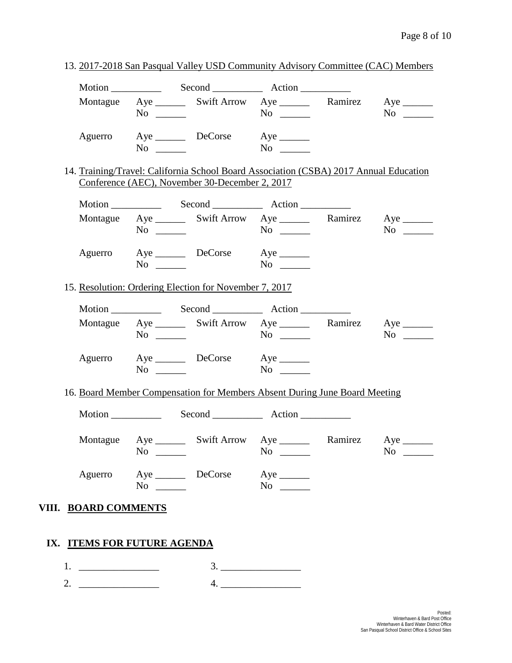|                      | Montague Aye ________ Swift Arrow Aye _________ Ramirez Aye _______<br>$No \ \_$                                                        |                          | $No \ \_$                           | $No \_$                                |
|----------------------|-----------------------------------------------------------------------------------------------------------------------------------------|--------------------------|-------------------------------------|----------------------------------------|
| Aguerro              | $No \ \_$                                                                                                                               | Aye DeCorse Aye ________ | $No \_$                             |                                        |
|                      | 14. Training/Travel: California School Board Association (CSBA) 2017 Annual Education<br>Conference (AEC), November 30-December 2, 2017 |                          |                                     |                                        |
|                      |                                                                                                                                         |                          |                                     |                                        |
|                      | Montague Aye ________ Swift Arrow Aye ________ Ramirez Aye _______<br>$No \ \_$                                                         |                          | $No \ \_$                           | $No \ \_$                              |
|                      | Aguerro Aye DeCorse Aye<br>$No \ \ \$                                                                                                   |                          | $\overline{\text{No}}$              |                                        |
|                      | 15. Resolution: Ordering Election for November 7, 2017                                                                                  |                          |                                     |                                        |
|                      |                                                                                                                                         |                          |                                     |                                        |
|                      | Montague Aye ________ Swift Arrow Aye ________ Ramirez Aye _______<br>$No \ \_$                                                         |                          | $No \ \_$                           | $No \_$                                |
|                      | Aguerro Aye DeCorse Aye<br>$No \ \_$                                                                                                    |                          | $No \ \_$                           |                                        |
|                      | 16. Board Member Compensation for Members Absent During June Board Meeting                                                              |                          |                                     |                                        |
|                      |                                                                                                                                         |                          |                                     |                                        |
|                      | Montague Aye _________ Swift Arrow Aye __________ Ramirez<br>$No \ \_$                                                                  |                          | $No \_$                             | $Aye$ <sub>______</sub><br>No $\qquad$ |
|                      | Aguerro Aye DeCorse Aye<br>$No \ \_$                                                                                                    |                          | $No \ \_$                           |                                        |
| VIII. BOARD COMMENTS |                                                                                                                                         |                          |                                     |                                        |
|                      | IX. ITEMS FOR FUTURE AGENDA                                                                                                             |                          |                                     |                                        |
|                      |                                                                                                                                         |                          |                                     |                                        |
|                      |                                                                                                                                         |                          | $\begin{array}{c}\n3.\n\end{array}$ |                                        |

13. 2017-2018 San Pasqual Valley USD Community Advisory Committee (CAC) Members

-Posted:<br>Winterhaven & Bard Post Office<br>Winterhaven & Bard Water District Office<br>San Pasqual School District Office & School Sites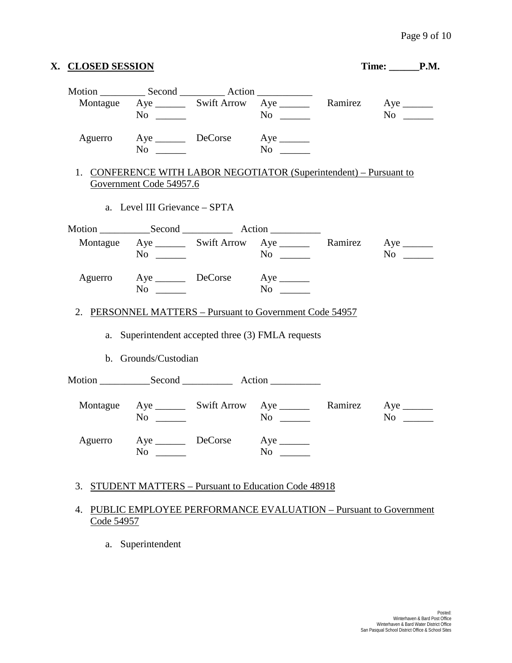|         |                               | Montague Aye ________ Swift Arrow Aye _________ Ramirez Aye _______<br>$\overline{N_0}$ | $No \ \_$                             | $No \_$   |
|---------|-------------------------------|-----------------------------------------------------------------------------------------|---------------------------------------|-----------|
|         | $No \ \_$                     | Aguerro Aye DeCorse Aye ________                                                        | $\overline{N_0}$                      |           |
|         | Government Code 54957.6       | 1. CONFERENCE WITH LABOR NEGOTIATOR (Superintendent) - Pursuant to                      |                                       |           |
|         | a. Level III Grievance - SPTA |                                                                                         |                                       |           |
|         |                               |                                                                                         |                                       |           |
|         | $No \ \_$                     | Montague Aye ________ Swift Arrow Aye ________ Ramirez Aye _______                      | $No \ \_$                             | $No \_$   |
|         | $No \ \_$                     | Aguerro Aye DeCorse Aye                                                                 | $N$ o                                 |           |
|         |                               |                                                                                         |                                       |           |
|         | b. Grounds/Custodian          | a. Superintendent accepted three (3) FMLA requests                                      |                                       |           |
|         |                               |                                                                                         |                                       |           |
|         | $No \ \_$                     | Montague Aye ________ Swift Arrow Aye _________ Ramirez                                 | $No \ \_$                             | $No \ \_$ |
| Aguerro | Aye DeCorse<br>$No \ \_$      |                                                                                         | $Aye$ <sub>_______</sub><br>$No \ \_$ |           |